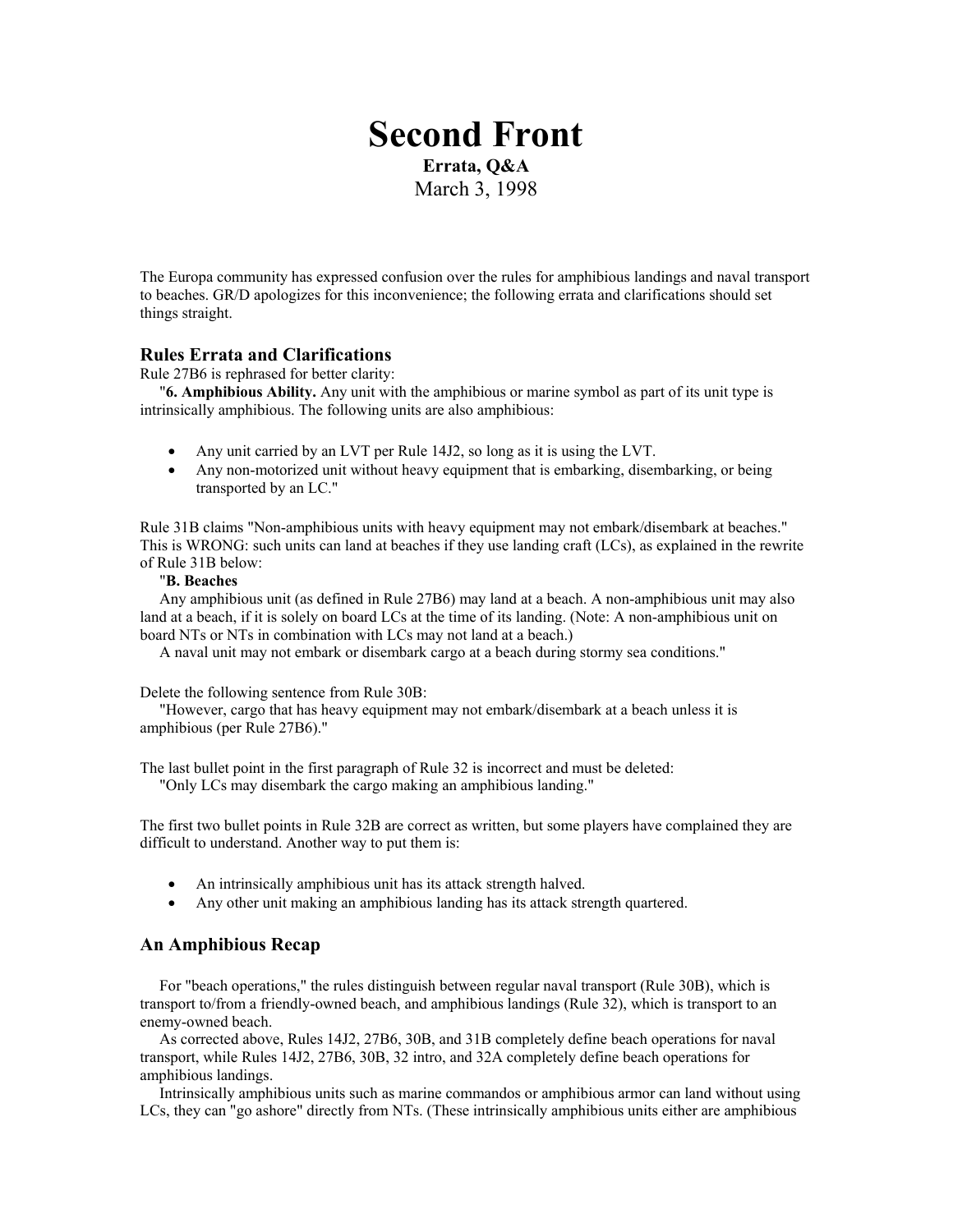# **Second Front Errata, Q&A**  March 3, 1998

The Europa community has expressed confusion over the rules for amphibious landings and naval transport to beaches. GR/D apologizes for this inconvenience; the following errata and clarifications should set things straight.

# **Rules Errata and Clarifications**

Rule 27B6 is rephrased for better clarity:

 "**6. Amphibious Ability.** Any unit with the amphibious or marine symbol as part of its unit type is intrinsically amphibious. The following units are also amphibious:

- Any unit carried by an LVT per Rule 14J2, so long as it is using the LVT.
- Any non-motorized unit without heavy equipment that is embarking, disembarking, or being transported by an LC."

Rule 31B claims "Non-amphibious units with heavy equipment may not embark/disembark at beaches." This is WRONG: such units can land at beaches if they use landing craft (LCs), as explained in the rewrite of Rule 31B below:

## "**B. Beaches**

 Any amphibious unit (as defined in Rule 27B6) may land at a beach. A non-amphibious unit may also land at a beach, if it is solely on board LCs at the time of its landing. (Note: A non-amphibious unit on board NTs or NTs in combination with LCs may not land at a beach.)

A naval unit may not embark or disembark cargo at a beach during stormy sea conditions."

Delete the following sentence from Rule 30B:

 "However, cargo that has heavy equipment may not embark/disembark at a beach unless it is amphibious (per Rule 27B6)."

The last bullet point in the first paragraph of Rule 32 is incorrect and must be deleted: "Only LCs may disembark the cargo making an amphibious landing."

The first two bullet points in Rule 32B are correct as written, but some players have complained they are difficult to understand. Another way to put them is:

- An intrinsically amphibious unit has its attack strength halved.
- Any other unit making an amphibious landing has its attack strength quartered.

# **An Amphibious Recap**

 For "beach operations," the rules distinguish between regular naval transport (Rule 30B), which is transport to/from a friendly-owned beach, and amphibious landings (Rule 32), which is transport to an enemy-owned beach.

 As corrected above, Rules 14J2, 27B6, 30B, and 31B completely define beach operations for naval transport, while Rules 14J2, 27B6, 30B, 32 intro, and 32A completely define beach operations for amphibious landings.

 Intrinsically amphibious units such as marine commandos or amphibious armor can land without using LCs, they can "go ashore" directly from NTs. (These intrinsically amphibious units either are amphibious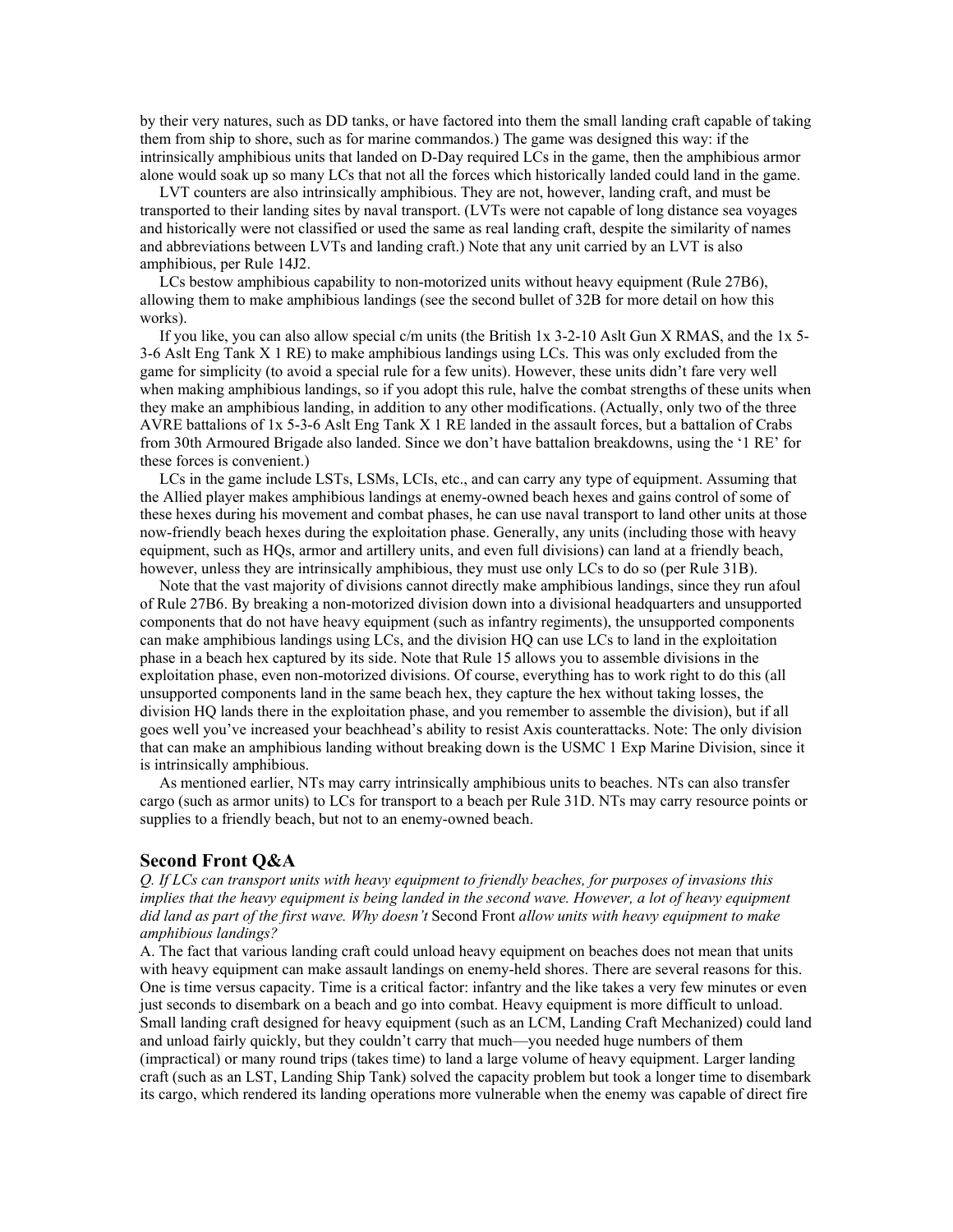by their very natures, such as DD tanks, or have factored into them the small landing craft capable of taking them from ship to shore, such as for marine commandos.) The game was designed this way: if the intrinsically amphibious units that landed on D-Day required LCs in the game, then the amphibious armor alone would soak up so many LCs that not all the forces which historically landed could land in the game.

 LVT counters are also intrinsically amphibious. They are not, however, landing craft, and must be transported to their landing sites by naval transport. (LVTs were not capable of long distance sea voyages and historically were not classified or used the same as real landing craft, despite the similarity of names and abbreviations between LVTs and landing craft.) Note that any unit carried by an LVT is also amphibious, per Rule 14J2.

 LCs bestow amphibious capability to non-motorized units without heavy equipment (Rule 27B6), allowing them to make amphibious landings (see the second bullet of 32B for more detail on how this works).

If you like, you can also allow special c/m units (the British  $1x$  3-2-10 Aslt Gun X RMAS, and the  $1x$  5-3-6 Aslt Eng Tank X 1 RE) to make amphibious landings using LCs. This was only excluded from the game for simplicity (to avoid a special rule for a few units). However, these units didn't fare very well when making amphibious landings, so if you adopt this rule, halve the combat strengths of these units when they make an amphibious landing, in addition to any other modifications. (Actually, only two of the three AVRE battalions of 1x 5-3-6 Aslt Eng Tank X 1 RE landed in the assault forces, but a battalion of Crabs from 30th Armoured Brigade also landed. Since we don't have battalion breakdowns, using the '1 RE' for these forces is convenient.)

 LCs in the game include LSTs, LSMs, LCIs, etc., and can carry any type of equipment. Assuming that the Allied player makes amphibious landings at enemy-owned beach hexes and gains control of some of these hexes during his movement and combat phases, he can use naval transport to land other units at those now-friendly beach hexes during the exploitation phase. Generally, any units (including those with heavy equipment, such as HQs, armor and artillery units, and even full divisions) can land at a friendly beach, however, unless they are intrinsically amphibious, they must use only LCs to do so (per Rule 31B).

 Note that the vast majority of divisions cannot directly make amphibious landings, since they run afoul of Rule 27B6. By breaking a non-motorized division down into a divisional headquarters and unsupported components that do not have heavy equipment (such as infantry regiments), the unsupported components can make amphibious landings using LCs, and the division HQ can use LCs to land in the exploitation phase in a beach hex captured by its side. Note that Rule 15 allows you to assemble divisions in the exploitation phase, even non-motorized divisions. Of course, everything has to work right to do this (all unsupported components land in the same beach hex, they capture the hex without taking losses, the division HQ lands there in the exploitation phase, and you remember to assemble the division), but if all goes well you've increased your beachhead's ability to resist Axis counterattacks. Note: The only division that can make an amphibious landing without breaking down is the USMC 1 Exp Marine Division, since it is intrinsically amphibious.

 As mentioned earlier, NTs may carry intrinsically amphibious units to beaches. NTs can also transfer cargo (such as armor units) to LCs for transport to a beach per Rule 31D. NTs may carry resource points or supplies to a friendly beach, but not to an enemy-owned beach.

#### **Second Front Q&A**

*Q. If LCs can transport units with heavy equipment to friendly beaches, for purposes of invasions this implies that the heavy equipment is being landed in the second wave. However, a lot of heavy equipment did land as part of the first wave. Why doesn't* Second Front *allow units with heavy equipment to make amphibious landings?* 

A. The fact that various landing craft could unload heavy equipment on beaches does not mean that units with heavy equipment can make assault landings on enemy-held shores. There are several reasons for this. One is time versus capacity. Time is a critical factor: infantry and the like takes a very few minutes or even just seconds to disembark on a beach and go into combat. Heavy equipment is more difficult to unload. Small landing craft designed for heavy equipment (such as an LCM, Landing Craft Mechanized) could land and unload fairly quickly, but they couldn't carry that much—you needed huge numbers of them (impractical) or many round trips (takes time) to land a large volume of heavy equipment. Larger landing craft (such as an LST, Landing Ship Tank) solved the capacity problem but took a longer time to disembark its cargo, which rendered its landing operations more vulnerable when the enemy was capable of direct fire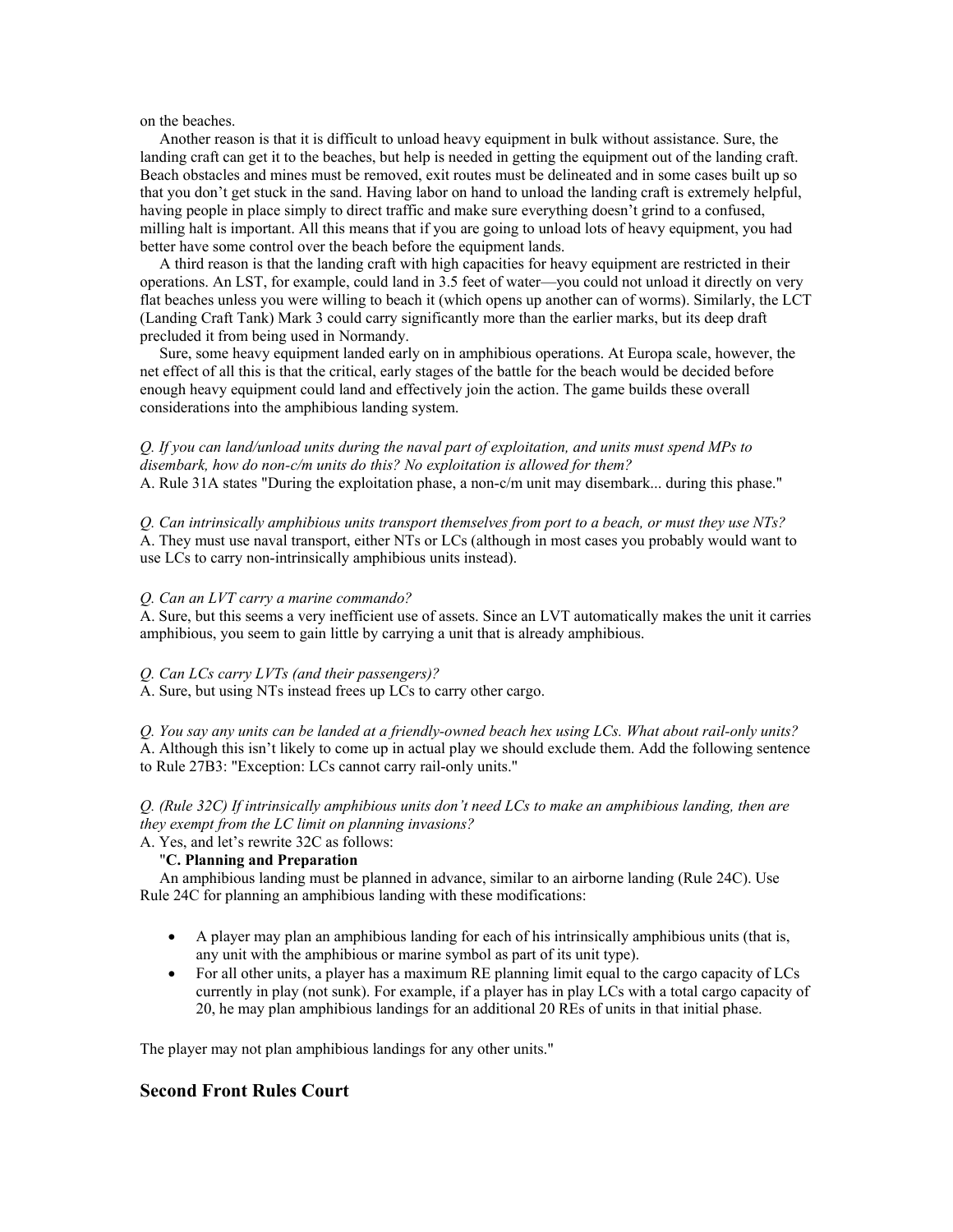on the beaches.

 Another reason is that it is difficult to unload heavy equipment in bulk without assistance. Sure, the landing craft can get it to the beaches, but help is needed in getting the equipment out of the landing craft. Beach obstacles and mines must be removed, exit routes must be delineated and in some cases built up so that you don't get stuck in the sand. Having labor on hand to unload the landing craft is extremely helpful, having people in place simply to direct traffic and make sure everything doesn't grind to a confused, milling halt is important. All this means that if you are going to unload lots of heavy equipment, you had better have some control over the beach before the equipment lands.

 A third reason is that the landing craft with high capacities for heavy equipment are restricted in their operations. An LST, for example, could land in 3.5 feet of water—you could not unload it directly on very flat beaches unless you were willing to beach it (which opens up another can of worms). Similarly, the LCT (Landing Craft Tank) Mark 3 could carry significantly more than the earlier marks, but its deep draft precluded it from being used in Normandy.

 Sure, some heavy equipment landed early on in amphibious operations. At Europa scale, however, the net effect of all this is that the critical, early stages of the battle for the beach would be decided before enough heavy equipment could land and effectively join the action. The game builds these overall considerations into the amphibious landing system.

*Q. If you can land/unload units during the naval part of exploitation, and units must spend MPs to disembark, how do non-c/m units do this? No exploitation is allowed for them?* A. Rule 31A states "During the exploitation phase, a non-c/m unit may disembark... during this phase."

*Q. Can intrinsically amphibious units transport themselves from port to a beach, or must they use NTs?* A. They must use naval transport, either NTs or LCs (although in most cases you probably would want to use LCs to carry non-intrinsically amphibious units instead).

#### *Q. Can an LVT carry a marine commando?*

A. Sure, but this seems a very inefficient use of assets. Since an LVT automatically makes the unit it carries amphibious, you seem to gain little by carrying a unit that is already amphibious.

#### *Q. Can LCs carry LVTs (and their passengers)?*

A. Sure, but using NTs instead frees up LCs to carry other cargo.

*Q. You say any units can be landed at a friendly-owned beach hex using LCs. What about rail-only units?* A. Although this isn't likely to come up in actual play we should exclude them. Add the following sentence to Rule 27B3: "Exception: LCs cannot carry rail-only units."

*Q. (Rule 32C) If intrinsically amphibious units don't need LCs to make an amphibious landing, then are they exempt from the LC limit on planning invasions?*

#### A. Yes, and let's rewrite 32C as follows:

# "**C. Planning and Preparation**

 An amphibious landing must be planned in advance, similar to an airborne landing (Rule 24C). Use Rule 24C for planning an amphibious landing with these modifications:

- A player may plan an amphibious landing for each of his intrinsically amphibious units (that is, any unit with the amphibious or marine symbol as part of its unit type).
- For all other units, a player has a maximum RE planning limit equal to the cargo capacity of LCs currently in play (not sunk). For example, if a player has in play LCs with a total cargo capacity of 20, he may plan amphibious landings for an additional 20 REs of units in that initial phase.

The player may not plan amphibious landings for any other units."

# **Second Front Rules Court**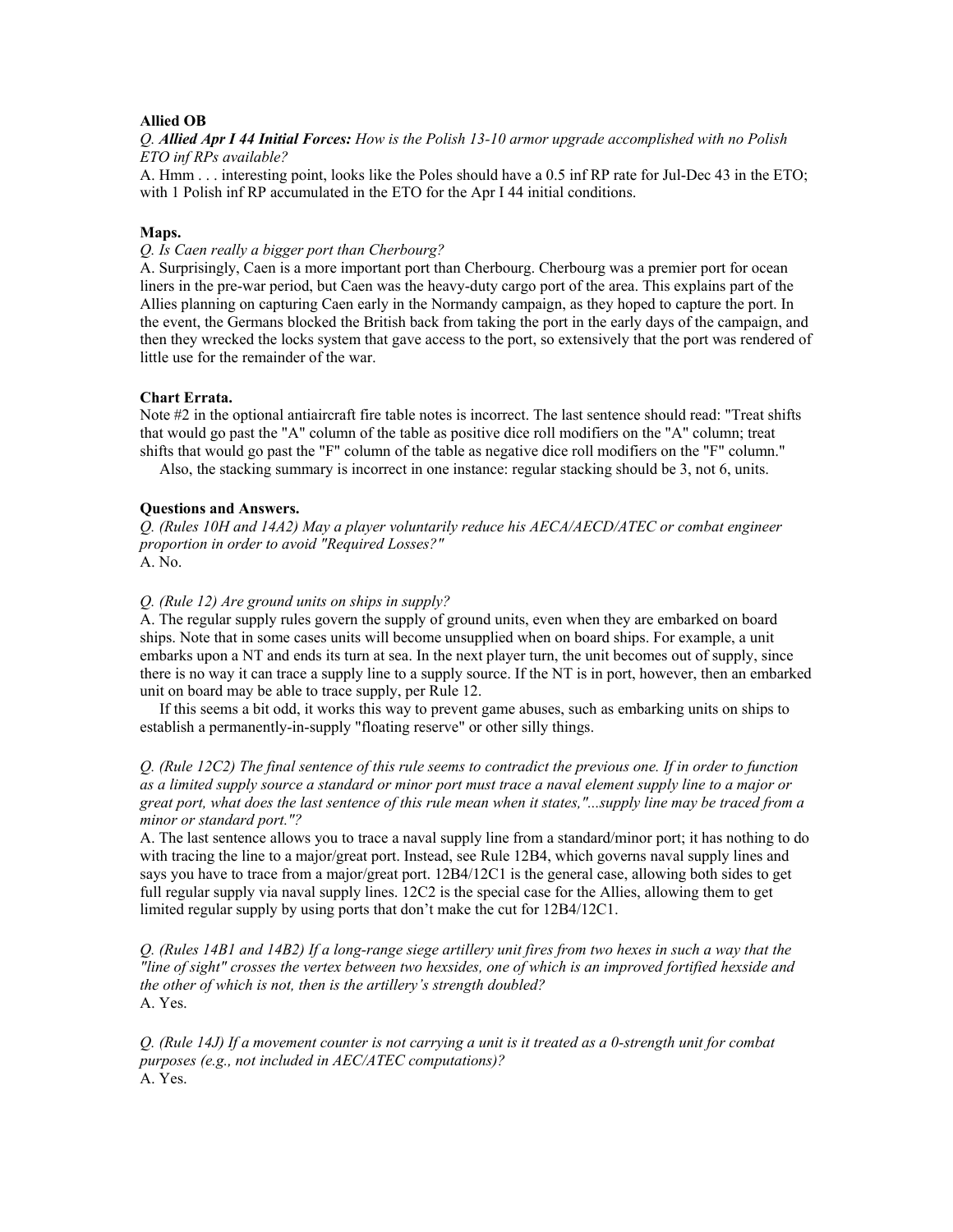#### **Allied OB**

*Q. Allied Apr I 44 Initial Forces: How is the Polish 13-10 armor upgrade accomplished with no Polish ETO inf RPs available?* 

A. Hmm . . . interesting point, looks like the Poles should have a 0.5 inf RP rate for Jul-Dec 43 in the ETO; with 1 Polish inf RP accumulated in the ETO for the Apr I 44 initial conditions.

#### **Maps.**

*Q. Is Caen really a bigger port than Cherbourg?* 

A. Surprisingly, Caen is a more important port than Cherbourg. Cherbourg was a premier port for ocean liners in the pre-war period, but Caen was the heavy-duty cargo port of the area. This explains part of the Allies planning on capturing Caen early in the Normandy campaign, as they hoped to capture the port. In the event, the Germans blocked the British back from taking the port in the early days of the campaign, and then they wrecked the locks system that gave access to the port, so extensively that the port was rendered of little use for the remainder of the war.

#### **Chart Errata.**

Note #2 in the optional antiaircraft fire table notes is incorrect. The last sentence should read: "Treat shifts that would go past the "A" column of the table as positive dice roll modifiers on the "A" column; treat shifts that would go past the "F" column of the table as negative dice roll modifiers on the "F" column."

Also, the stacking summary is incorrect in one instance: regular stacking should be 3, not 6, units.

#### **Questions and Answers.**

*Q. (Rules 10H and 14A2) May a player voluntarily reduce his AECA/AECD/ATEC or combat engineer proportion in order to avoid "Required Losses?"*  A. No.

#### *Q. (Rule 12) Are ground units on ships in supply?*

A. The regular supply rules govern the supply of ground units, even when they are embarked on board ships. Note that in some cases units will become unsupplied when on board ships. For example, a unit embarks upon a NT and ends its turn at sea. In the next player turn, the unit becomes out of supply, since there is no way it can trace a supply line to a supply source. If the NT is in port, however, then an embarked unit on board may be able to trace supply, per Rule 12.

 If this seems a bit odd, it works this way to prevent game abuses, such as embarking units on ships to establish a permanently-in-supply "floating reserve" or other silly things.

*Q. (Rule 12C2) The final sentence of this rule seems to contradict the previous one. If in order to function as a limited supply source a standard or minor port must trace a naval element supply line to a major or great port, what does the last sentence of this rule mean when it states,"...supply line may be traced from a minor or standard port."?*

A. The last sentence allows you to trace a naval supply line from a standard/minor port; it has nothing to do with tracing the line to a major/great port. Instead, see Rule 12B4, which governs naval supply lines and says you have to trace from a major/great port.  $12B4/12C1$  is the general case, allowing both sides to get full regular supply via naval supply lines. 12C2 is the special case for the Allies, allowing them to get limited regular supply by using ports that don't make the cut for 12B4/12C1.

*Q. (Rules 14B1 and 14B2) If a long-range siege artillery unit fires from two hexes in such a way that the "line of sight" crosses the vertex between two hexsides, one of which is an improved fortified hexside and the other of which is not, then is the artillery's strength doubled?*  A. Yes.

*Q. (Rule 14J) If a movement counter is not carrying a unit is it treated as a 0-strength unit for combat purposes (e.g., not included in AEC/ATEC computations)?*  A. Yes.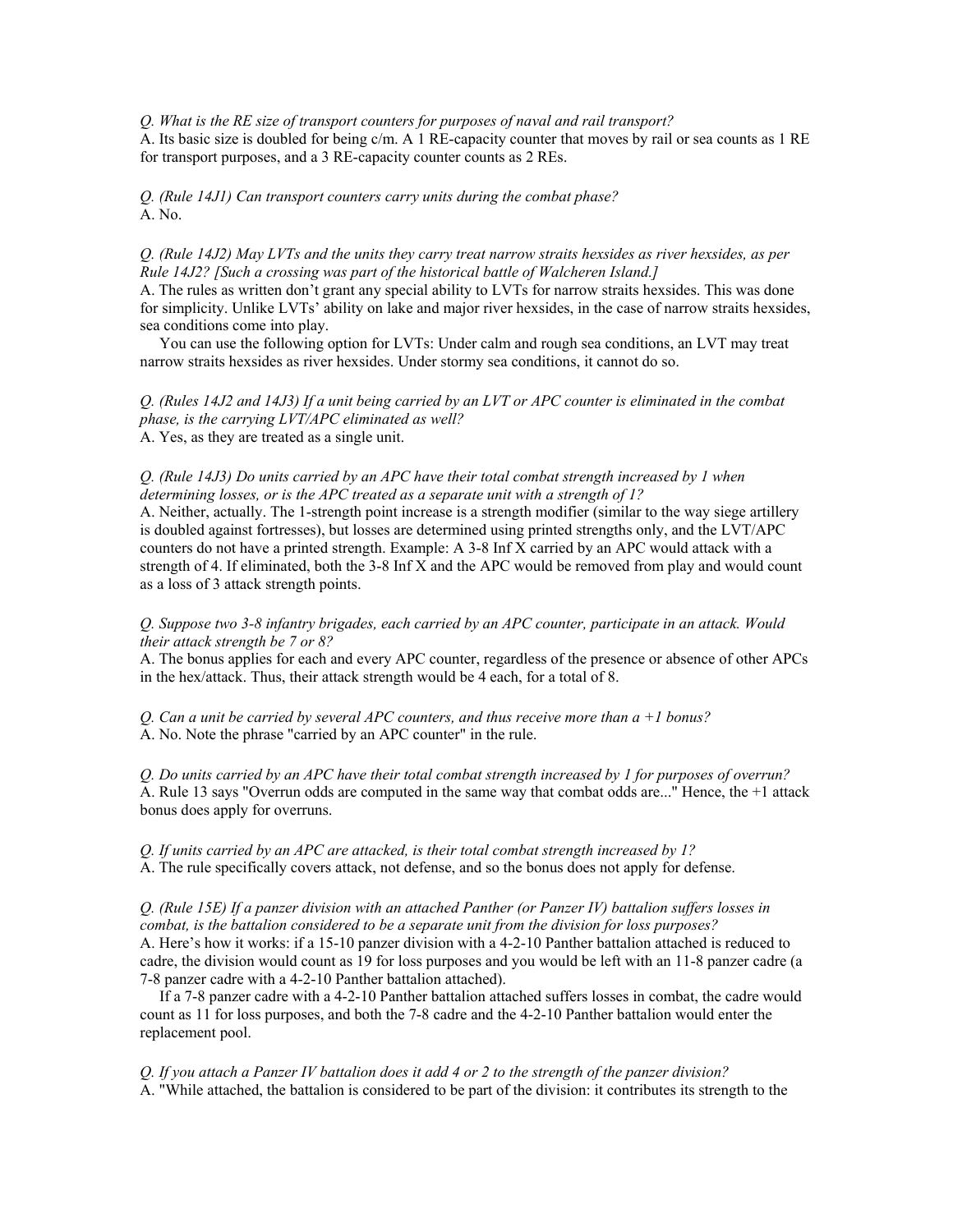*Q. What is the RE size of transport counters for purposes of naval and rail transport?*

A. Its basic size is doubled for being c/m. A 1 RE-capacity counter that moves by rail or sea counts as 1 RE for transport purposes, and a 3 RE-capacity counter counts as 2 REs.

*Q. (Rule 14J1) Can transport counters carry units during the combat phase?* A. No.

#### *Q. (Rule 14J2) May LVTs and the units they carry treat narrow straits hexsides as river hexsides, as per Rule 14J2? [Such a crossing was part of the historical battle of Walcheren Island.]*

A. The rules as written don't grant any special ability to LVTs for narrow straits hexsides. This was done for simplicity. Unlike LVTs' ability on lake and major river hexsides, in the case of narrow straits hexsides, sea conditions come into play.

 You can use the following option for LVTs: Under calm and rough sea conditions, an LVT may treat narrow straits hexsides as river hexsides. Under stormy sea conditions, it cannot do so.

*Q. (Rules 14J2 and 14J3) If a unit being carried by an LVT or APC counter is eliminated in the combat phase, is the carrying LVT/APC eliminated as well?* A. Yes, as they are treated as a single unit.

#### *Q. (Rule 14J3) Do units carried by an APC have their total combat strength increased by 1 when determining losses, or is the APC treated as a separate unit with a strength of 1?*

A. Neither, actually. The 1-strength point increase is a strength modifier (similar to the way siege artillery is doubled against fortresses), but losses are determined using printed strengths only, and the LVT/APC counters do not have a printed strength. Example: A 3-8 Inf X carried by an APC would attack with a strength of 4. If eliminated, both the 3-8 Inf X and the APC would be removed from play and would count as a loss of 3 attack strength points.

#### *Q. Suppose two 3-8 infantry brigades, each carried by an APC counter, participate in an attack. Would their attack strength be 7 or 8?*

A. The bonus applies for each and every APC counter, regardless of the presence or absence of other APCs in the hex/attack. Thus, their attack strength would be 4 each, for a total of 8.

*Q. Can a unit be carried by several APC counters, and thus receive more than a +1 bonus?* A. No. Note the phrase "carried by an APC counter" in the rule.

*Q. Do units carried by an APC have their total combat strength increased by 1 for purposes of overrun?* A. Rule 13 says "Overrun odds are computed in the same way that combat odds are..." Hence, the +1 attack bonus does apply for overruns.

*Q. If units carried by an APC are attacked, is their total combat strength increased by 1?* A. The rule specifically covers attack, not defense, and so the bonus does not apply for defense.

*Q. (Rule 15E) If a panzer division with an attached Panther (or Panzer IV) battalion suffers losses in combat, is the battalion considered to be a separate unit from the division for loss purposes?* A. Here's how it works: if a 15-10 panzer division with a 4-2-10 Panther battalion attached is reduced to cadre, the division would count as 19 for loss purposes and you would be left with an 11-8 panzer cadre (a 7-8 panzer cadre with a 4-2-10 Panther battalion attached).

 If a 7-8 panzer cadre with a 4-2-10 Panther battalion attached suffers losses in combat, the cadre would count as 11 for loss purposes, and both the 7-8 cadre and the 4-2-10 Panther battalion would enter the replacement pool.

*Q. If you attach a Panzer IV battalion does it add 4 or 2 to the strength of the panzer division?* A. "While attached, the battalion is considered to be part of the division: it contributes its strength to the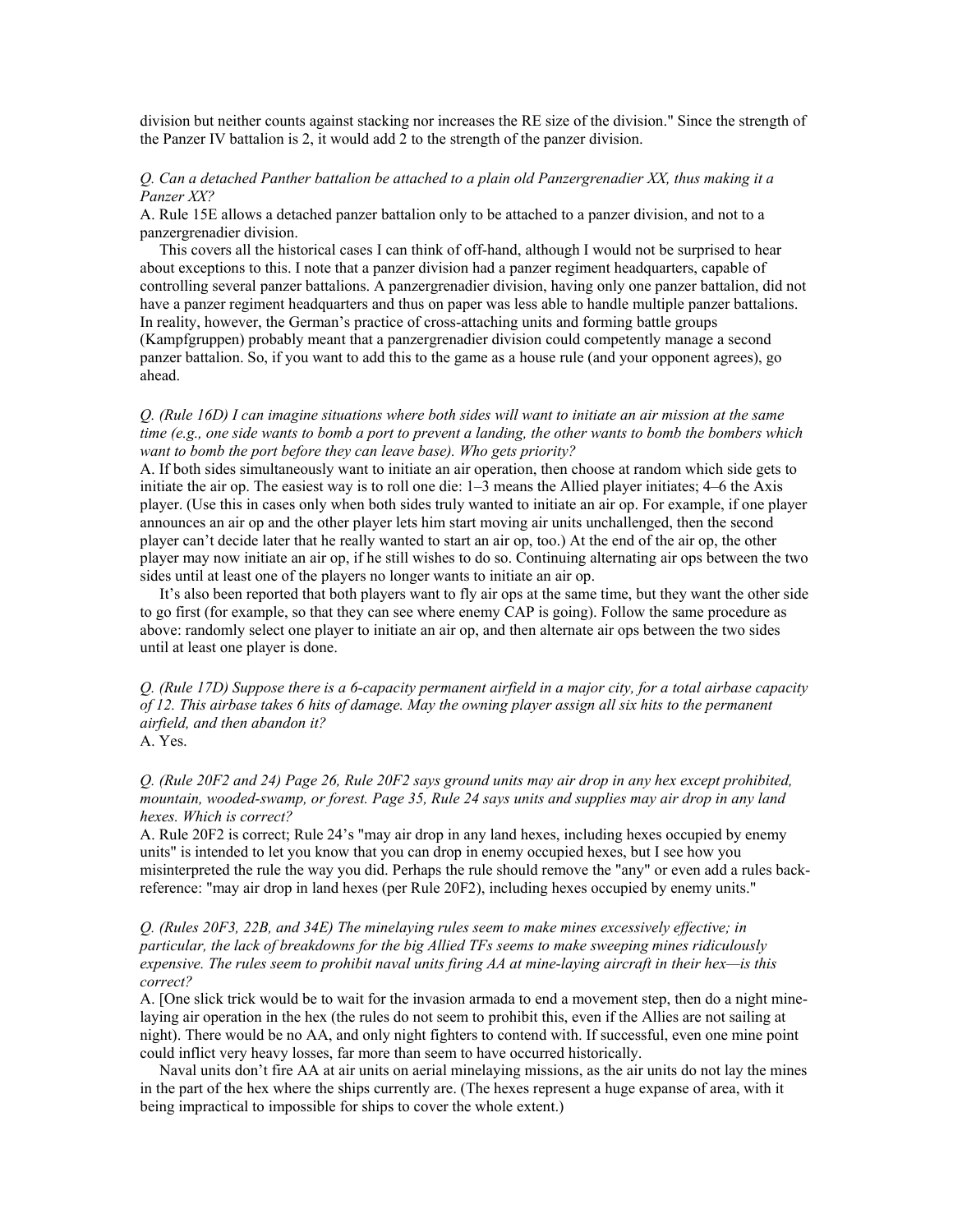division but neither counts against stacking nor increases the RE size of the division." Since the strength of the Panzer IV battalion is 2, it would add 2 to the strength of the panzer division.

## *Q. Can a detached Panther battalion be attached to a plain old Panzergrenadier XX, thus making it a Panzer XX?*

A. Rule 15E allows a detached panzer battalion only to be attached to a panzer division, and not to a panzergrenadier division.

 This covers all the historical cases I can think of off-hand, although I would not be surprised to hear about exceptions to this. I note that a panzer division had a panzer regiment headquarters, capable of controlling several panzer battalions. A panzergrenadier division, having only one panzer battalion, did not have a panzer regiment headquarters and thus on paper was less able to handle multiple panzer battalions. In reality, however, the German's practice of cross-attaching units and forming battle groups (Kampfgruppen) probably meant that a panzergrenadier division could competently manage a second panzer battalion. So, if you want to add this to the game as a house rule (and your opponent agrees), go ahead.

## *Q. (Rule 16D) I can imagine situations where both sides will want to initiate an air mission at the same time (e.g., one side wants to bomb a port to prevent a landing, the other wants to bomb the bombers which want to bomb the port before they can leave base). Who gets priority?*

A. If both sides simultaneously want to initiate an air operation, then choose at random which side gets to initiate the air op. The easiest way is to roll one die: 1–3 means the Allied player initiates; 4–6 the Axis player. (Use this in cases only when both sides truly wanted to initiate an air op. For example, if one player announces an air op and the other player lets him start moving air units unchallenged, then the second player can't decide later that he really wanted to start an air op, too.) At the end of the air op, the other player may now initiate an air op, if he still wishes to do so. Continuing alternating air ops between the two sides until at least one of the players no longer wants to initiate an air op.

 It's also been reported that both players want to fly air ops at the same time, but they want the other side to go first (for example, so that they can see where enemy CAP is going). Follow the same procedure as above: randomly select one player to initiate an air op, and then alternate air ops between the two sides until at least one player is done.

*Q. (Rule 17D) Suppose there is a 6-capacity permanent airfield in a major city, for a total airbase capacity of 12. This airbase takes 6 hits of damage. May the owning player assign all six hits to the permanent airfield, and then abandon it?*

A. Yes.

## *Q. (Rule 20F2 and 24) Page 26, Rule 20F2 says ground units may air drop in any hex except prohibited, mountain, wooded-swamp, or forest. Page 35, Rule 24 says units and supplies may air drop in any land hexes. Which is correct?*

A. Rule 20F2 is correct; Rule 24's "may air drop in any land hexes, including hexes occupied by enemy units" is intended to let you know that you can drop in enemy occupied hexes, but I see how you misinterpreted the rule the way you did. Perhaps the rule should remove the "any" or even add a rules backreference: "may air drop in land hexes (per Rule 20F2), including hexes occupied by enemy units."

#### *Q. (Rules 20F3, 22B, and 34E) The minelaying rules seem to make mines excessively effective; in particular, the lack of breakdowns for the big Allied TFs seems to make sweeping mines ridiculously expensive. The rules seem to prohibit naval units firing AA at mine-laying aircraft in their hex—is this correct?*

A. [One slick trick would be to wait for the invasion armada to end a movement step, then do a night minelaying air operation in the hex (the rules do not seem to prohibit this, even if the Allies are not sailing at night). There would be no AA, and only night fighters to contend with. If successful, even one mine point could inflict very heavy losses, far more than seem to have occurred historically.

 Naval units don't fire AA at air units on aerial minelaying missions, as the air units do not lay the mines in the part of the hex where the ships currently are. (The hexes represent a huge expanse of area, with it being impractical to impossible for ships to cover the whole extent.)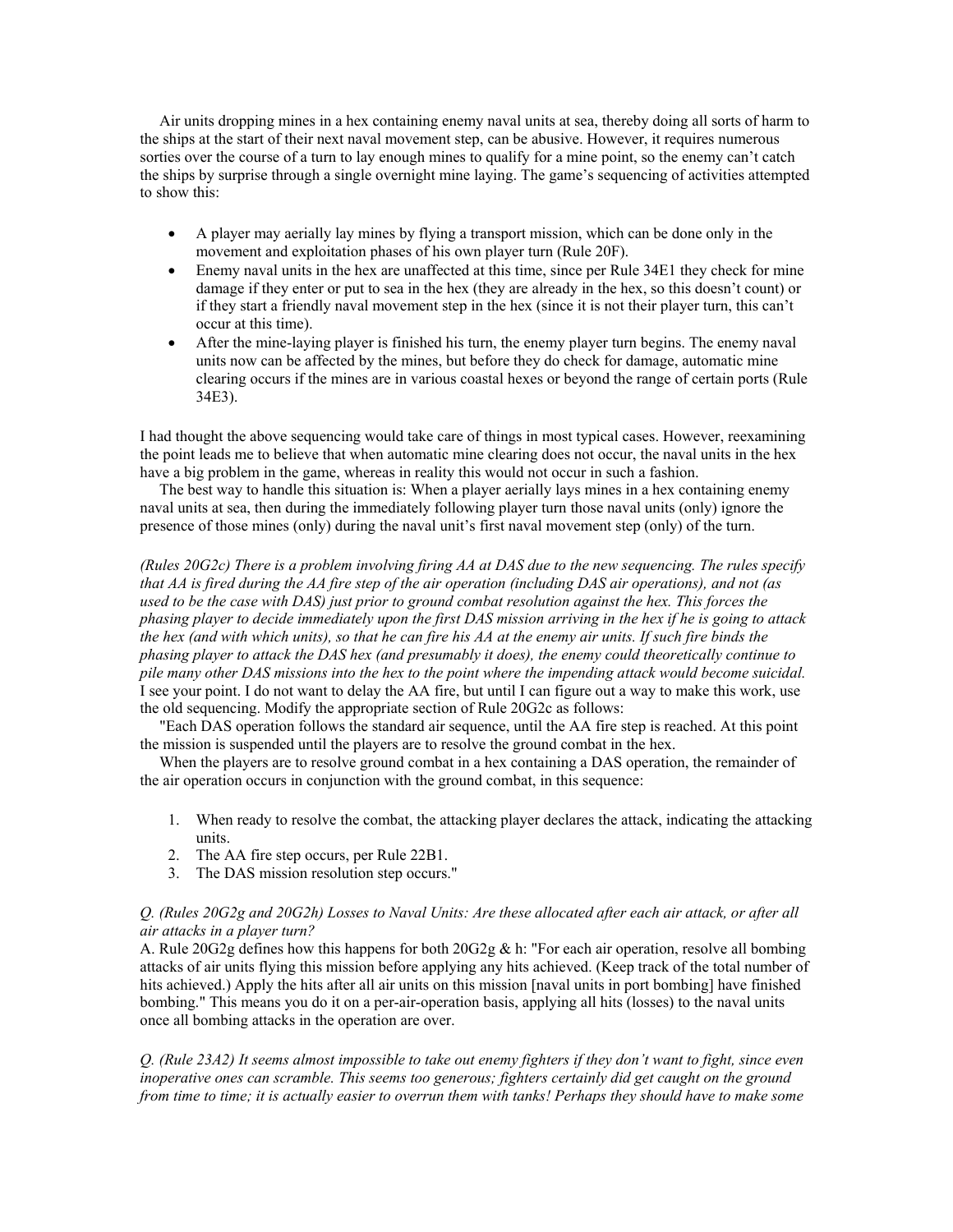Air units dropping mines in a hex containing enemy naval units at sea, thereby doing all sorts of harm to the ships at the start of their next naval movement step, can be abusive. However, it requires numerous sorties over the course of a turn to lay enough mines to qualify for a mine point, so the enemy can't catch the ships by surprise through a single overnight mine laying. The game's sequencing of activities attempted to show this:

- A player may aerially lay mines by flying a transport mission, which can be done only in the movement and exploitation phases of his own player turn (Rule 20F).
- Enemy naval units in the hex are unaffected at this time, since per Rule 34E1 they check for mine damage if they enter or put to sea in the hex (they are already in the hex, so this doesn't count) or if they start a friendly naval movement step in the hex (since it is not their player turn, this can't occur at this time).
- After the mine-laying player is finished his turn, the enemy player turn begins. The enemy naval units now can be affected by the mines, but before they do check for damage, automatic mine clearing occurs if the mines are in various coastal hexes or beyond the range of certain ports (Rule 34E3).

I had thought the above sequencing would take care of things in most typical cases. However, reexamining the point leads me to believe that when automatic mine clearing does not occur, the naval units in the hex have a big problem in the game, whereas in reality this would not occur in such a fashion.

 The best way to handle this situation is: When a player aerially lays mines in a hex containing enemy naval units at sea, then during the immediately following player turn those naval units (only) ignore the presence of those mines (only) during the naval unit's first naval movement step (only) of the turn.

*(Rules 20G2c) There is a problem involving firing AA at DAS due to the new sequencing. The rules specify that AA is fired during the AA fire step of the air operation (including DAS air operations), and not (as used to be the case with DAS) just prior to ground combat resolution against the hex. This forces the phasing player to decide immediately upon the first DAS mission arriving in the hex if he is going to attack the hex (and with which units), so that he can fire his AA at the enemy air units. If such fire binds the phasing player to attack the DAS hex (and presumably it does), the enemy could theoretically continue to pile many other DAS missions into the hex to the point where the impending attack would become suicidal.* I see your point. I do not want to delay the AA fire, but until I can figure out a way to make this work, use the old sequencing. Modify the appropriate section of Rule 20G2c as follows:

 "Each DAS operation follows the standard air sequence, until the AA fire step is reached. At this point the mission is suspended until the players are to resolve the ground combat in the hex.

When the players are to resolve ground combat in a hex containing a DAS operation, the remainder of the air operation occurs in conjunction with the ground combat, in this sequence:

- 1. When ready to resolve the combat, the attacking player declares the attack, indicating the attacking units.
- 2. The AA fire step occurs, per Rule 22B1.
- 3. The DAS mission resolution step occurs."

## *Q. (Rules 20G2g and 20G2h) Losses to Naval Units: Are these allocated after each air attack, or after all air attacks in a player turn?*

A. Rule 20G2g defines how this happens for both  $20G2g \& h$ : "For each air operation, resolve all bombing attacks of air units flying this mission before applying any hits achieved. (Keep track of the total number of hits achieved.) Apply the hits after all air units on this mission [naval units in port bombing] have finished bombing." This means you do it on a per-air-operation basis, applying all hits (losses) to the naval units once all bombing attacks in the operation are over.

*Q. (Rule 23A2) It seems almost impossible to take out enemy fighters if they don't want to fight, since even inoperative ones can scramble. This seems too generous; fighters certainly did get caught on the ground from time to time; it is actually easier to overrun them with tanks! Perhaps they should have to make some*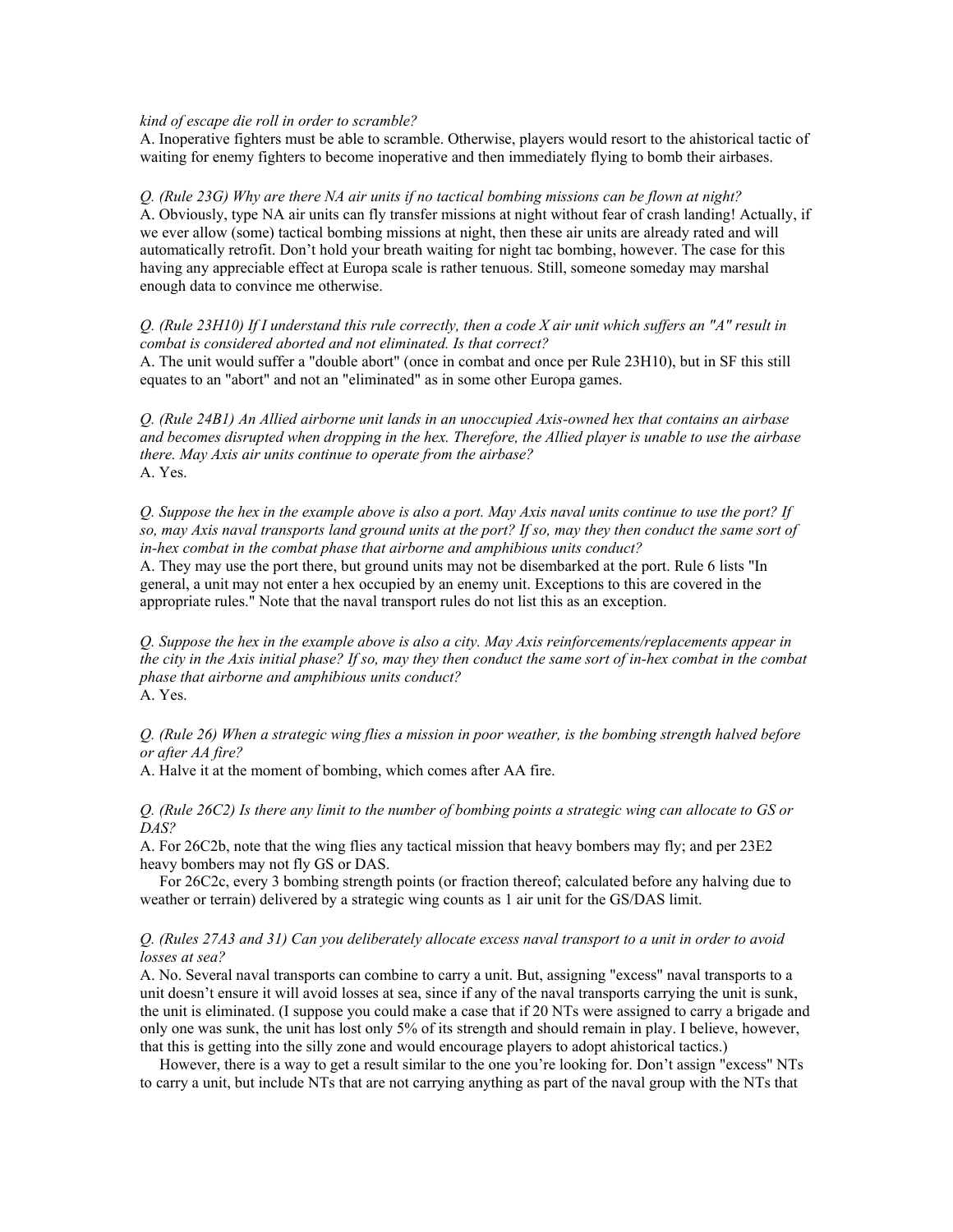#### *kind of escape die roll in order to scramble?*

A. Inoperative fighters must be able to scramble. Otherwise, players would resort to the ahistorical tactic of waiting for enemy fighters to become inoperative and then immediately flying to bomb their airbases.

*Q. (Rule 23G) Why are there NA air units if no tactical bombing missions can be flown at night?* A. Obviously, type NA air units can fly transfer missions at night without fear of crash landing! Actually, if we ever allow (some) tactical bombing missions at night, then these air units are already rated and will automatically retrofit. Don't hold your breath waiting for night tac bombing, however. The case for this having any appreciable effect at Europa scale is rather tenuous. Still, someone someday may marshal enough data to convince me otherwise.

*Q. (Rule 23H10) If I understand this rule correctly, then a code X air unit which suffers an "A" result in combat is considered aborted and not eliminated. Is that correct?*

A. The unit would suffer a "double abort" (once in combat and once per Rule 23H10), but in SF this still equates to an "abort" and not an "eliminated" as in some other Europa games.

*Q. (Rule 24B1) An Allied airborne unit lands in an unoccupied Axis-owned hex that contains an airbase and becomes disrupted when dropping in the hex. Therefore, the Allied player is unable to use the airbase there. May Axis air units continue to operate from the airbase?* A. Yes.

*Q. Suppose the hex in the example above is also a port. May Axis naval units continue to use the port? If so, may Axis naval transports land ground units at the port? If so, may they then conduct the same sort of in-hex combat in the combat phase that airborne and amphibious units conduct?*

A. They may use the port there, but ground units may not be disembarked at the port. Rule 6 lists "In general, a unit may not enter a hex occupied by an enemy unit. Exceptions to this are covered in the appropriate rules." Note that the naval transport rules do not list this as an exception.

*Q. Suppose the hex in the example above is also a city. May Axis reinforcements/replacements appear in the city in the Axis initial phase? If so, may they then conduct the same sort of in-hex combat in the combat phase that airborne and amphibious units conduct?* A. Yes.

*Q. (Rule 26) When a strategic wing flies a mission in poor weather, is the bombing strength halved before or after AA fire?*

A. Halve it at the moment of bombing, which comes after AA fire.

*Q. (Rule 26C2) Is there any limit to the number of bombing points a strategic wing can allocate to GS or DAS?*

A. For 26C2b, note that the wing flies any tactical mission that heavy bombers may fly; and per 23E2 heavy bombers may not fly GS or DAS.

 For 26C2c, every 3 bombing strength points (or fraction thereof; calculated before any halving due to weather or terrain) delivered by a strategic wing counts as 1 air unit for the GS/DAS limit.

## *Q. (Rules 27A3 and 31) Can you deliberately allocate excess naval transport to a unit in order to avoid losses at sea?*

A. No. Several naval transports can combine to carry a unit. But, assigning "excess" naval transports to a unit doesn't ensure it will avoid losses at sea, since if any of the naval transports carrying the unit is sunk, the unit is eliminated. (I suppose you could make a case that if 20 NTs were assigned to carry a brigade and only one was sunk, the unit has lost only 5% of its strength and should remain in play. I believe, however, that this is getting into the silly zone and would encourage players to adopt ahistorical tactics.)

 However, there is a way to get a result similar to the one you're looking for. Don't assign "excess" NTs to carry a unit, but include NTs that are not carrying anything as part of the naval group with the NTs that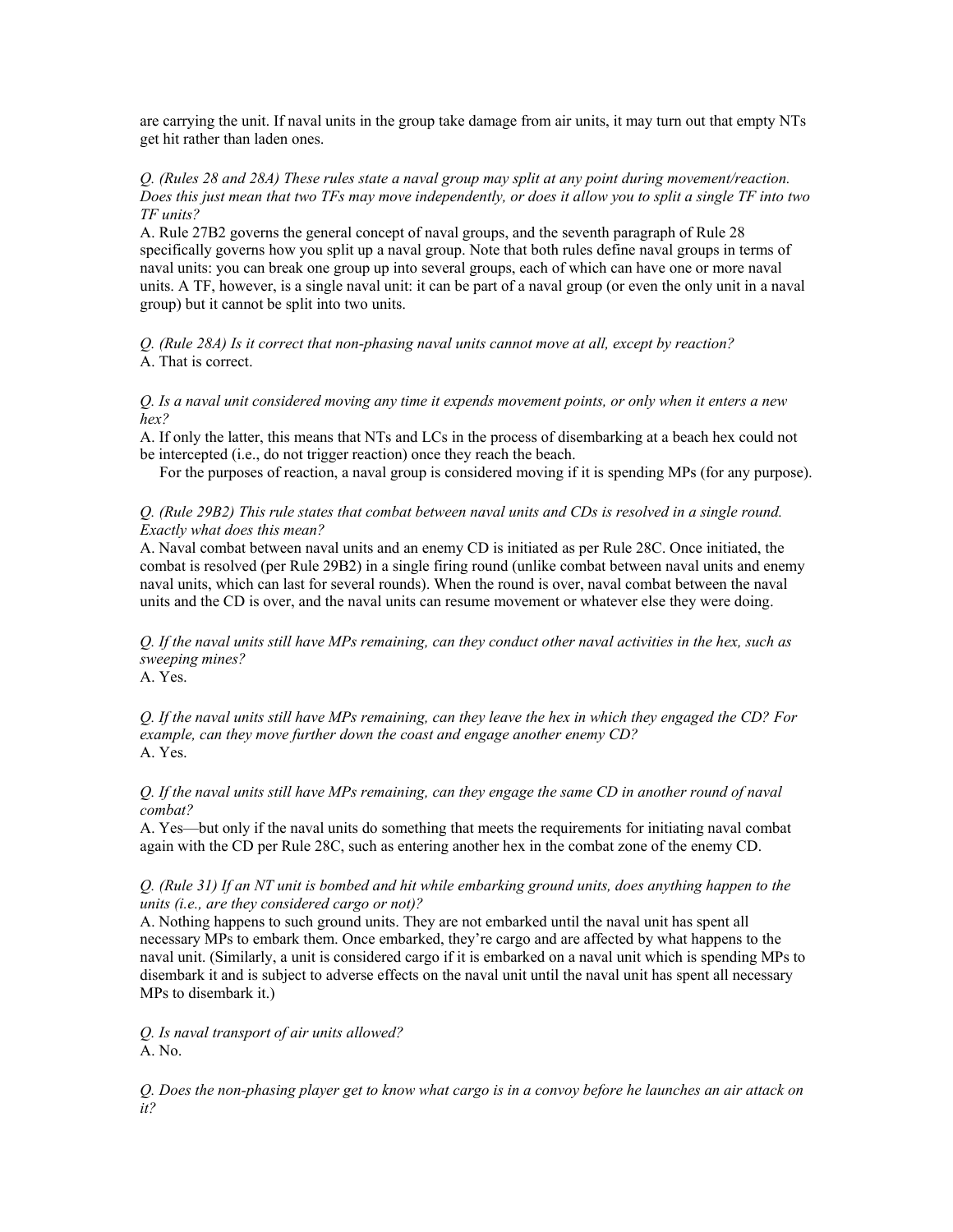are carrying the unit. If naval units in the group take damage from air units, it may turn out that empty NTs get hit rather than laden ones.

#### *Q. (Rules 28 and 28A) These rules state a naval group may split at any point during movement/reaction. Does this just mean that two TFs may move independently, or does it allow you to split a single TF into two TF units?*

A. Rule 27B2 governs the general concept of naval groups, and the seventh paragraph of Rule 28 specifically governs how you split up a naval group. Note that both rules define naval groups in terms of naval units: you can break one group up into several groups, each of which can have one or more naval units. A TF, however, is a single naval unit: it can be part of a naval group (or even the only unit in a naval group) but it cannot be split into two units.

*Q. (Rule 28A) Is it correct that non-phasing naval units cannot move at all, except by reaction?* A. That is correct.

*Q. Is a naval unit considered moving any time it expends movement points, or only when it enters a new hex?* 

A. If only the latter, this means that NTs and LCs in the process of disembarking at a beach hex could not be intercepted (i.e., do not trigger reaction) once they reach the beach.

For the purposes of reaction, a naval group is considered moving if it is spending MPs (for any purpose).

## *Q. (Rule 29B2) This rule states that combat between naval units and CDs is resolved in a single round. Exactly what does this mean?*

A. Naval combat between naval units and an enemy CD is initiated as per Rule 28C. Once initiated, the combat is resolved (per Rule 29B2) in a single firing round (unlike combat between naval units and enemy naval units, which can last for several rounds). When the round is over, naval combat between the naval units and the CD is over, and the naval units can resume movement or whatever else they were doing.

*Q. If the naval units still have MPs remaining, can they conduct other naval activities in the hex, such as sweeping mines?*

A. Yes.

*Q. If the naval units still have MPs remaining, can they leave the hex in which they engaged the CD? For example, can they move further down the coast and engage another enemy CD?* A. Yes.

*Q. If the naval units still have MPs remaining, can they engage the same CD in another round of naval combat?*

A. Yes—but only if the naval units do something that meets the requirements for initiating naval combat again with the CD per Rule 28C, such as entering another hex in the combat zone of the enemy CD.

#### *Q. (Rule 31) If an NT unit is bombed and hit while embarking ground units, does anything happen to the units (i.e., are they considered cargo or not)?*

A. Nothing happens to such ground units. They are not embarked until the naval unit has spent all necessary MPs to embark them. Once embarked, they're cargo and are affected by what happens to the naval unit. (Similarly, a unit is considered cargo if it is embarked on a naval unit which is spending MPs to disembark it and is subject to adverse effects on the naval unit until the naval unit has spent all necessary MPs to disembark it.)

*Q. Is naval transport of air units allowed?* A. No.

*Q. Does the non-phasing player get to know what cargo is in a convoy before he launches an air attack on it?*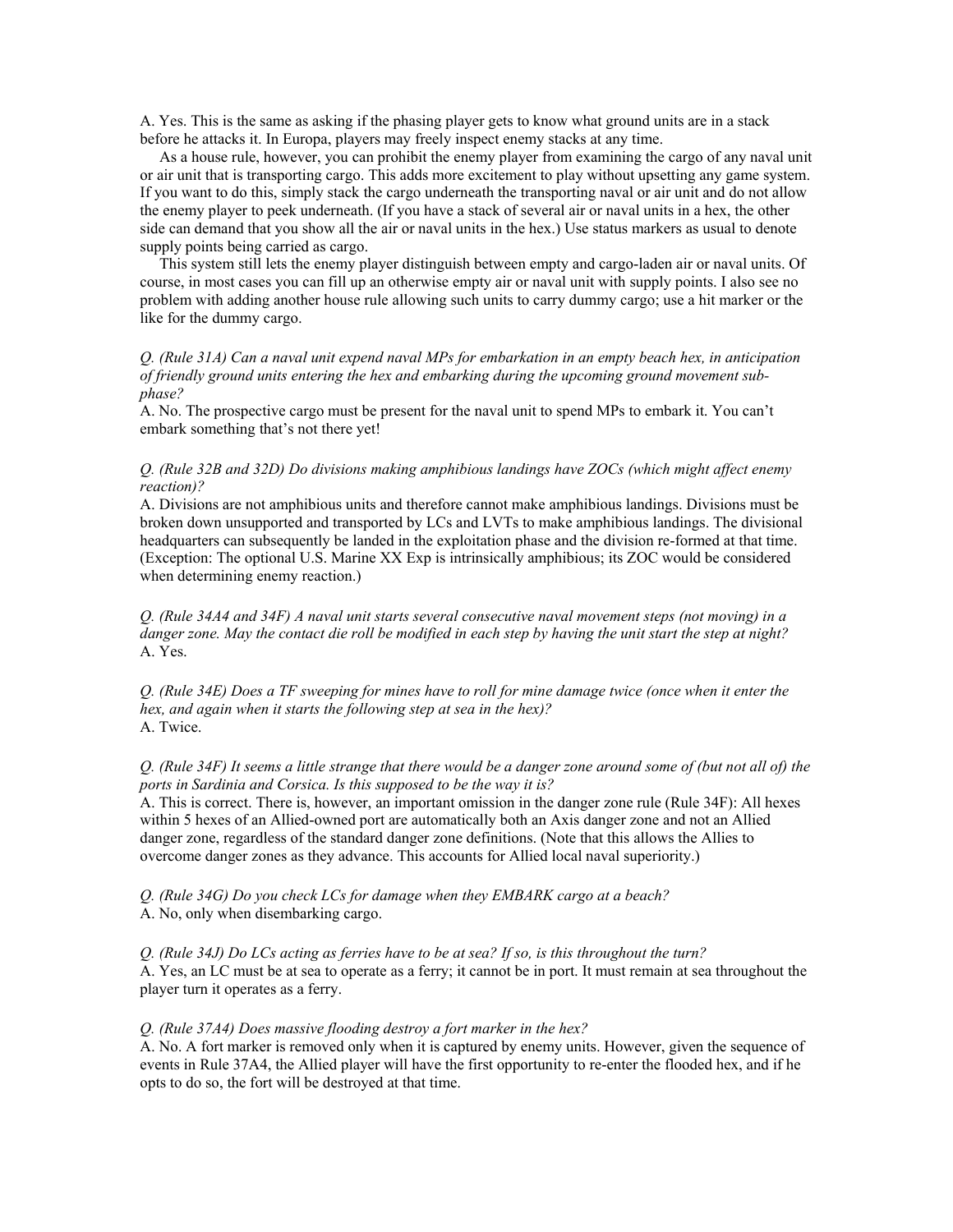A. Yes. This is the same as asking if the phasing player gets to know what ground units are in a stack before he attacks it. In Europa, players may freely inspect enemy stacks at any time.

 As a house rule, however, you can prohibit the enemy player from examining the cargo of any naval unit or air unit that is transporting cargo. This adds more excitement to play without upsetting any game system. If you want to do this, simply stack the cargo underneath the transporting naval or air unit and do not allow the enemy player to peek underneath. (If you have a stack of several air or naval units in a hex, the other side can demand that you show all the air or naval units in the hex.) Use status markers as usual to denote supply points being carried as cargo.

 This system still lets the enemy player distinguish between empty and cargo-laden air or naval units. Of course, in most cases you can fill up an otherwise empty air or naval unit with supply points. I also see no problem with adding another house rule allowing such units to carry dummy cargo; use a hit marker or the like for the dummy cargo.

*Q. (Rule 31A) Can a naval unit expend naval MPs for embarkation in an empty beach hex, in anticipation of friendly ground units entering the hex and embarking during the upcoming ground movement subphase?*

A. No. The prospective cargo must be present for the naval unit to spend MPs to embark it. You can't embark something that's not there yet!

## *Q. (Rule 32B and 32D) Do divisions making amphibious landings have ZOCs (which might affect enemy reaction)?*

A. Divisions are not amphibious units and therefore cannot make amphibious landings. Divisions must be broken down unsupported and transported by LCs and LVTs to make amphibious landings. The divisional headquarters can subsequently be landed in the exploitation phase and the division re-formed at that time. (Exception: The optional U.S. Marine XX Exp is intrinsically amphibious; its ZOC would be considered when determining enemy reaction.)

*Q. (Rule 34A4 and 34F) A naval unit starts several consecutive naval movement steps (not moving) in a danger zone. May the contact die roll be modified in each step by having the unit start the step at night?* A. Yes.

*Q. (Rule 34E) Does a TF sweeping for mines have to roll for mine damage twice (once when it enter the hex, and again when it starts the following step at sea in the hex)?* A. Twice.

#### *Q. (Rule 34F) It seems a little strange that there would be a danger zone around some of (but not all of) the ports in Sardinia and Corsica. Is this supposed to be the way it is?*

A. This is correct. There is, however, an important omission in the danger zone rule (Rule 34F): All hexes within 5 hexes of an Allied-owned port are automatically both an Axis danger zone and not an Allied danger zone, regardless of the standard danger zone definitions. (Note that this allows the Allies to overcome danger zones as they advance. This accounts for Allied local naval superiority.)

*Q. (Rule 34G) Do you check LCs for damage when they EMBARK cargo at a beach?* A. No, only when disembarking cargo.

*Q. (Rule 34J) Do LCs acting as ferries have to be at sea? If so, is this throughout the turn?* A. Yes, an LC must be at sea to operate as a ferry; it cannot be in port. It must remain at sea throughout the player turn it operates as a ferry.

#### *Q. (Rule 37A4) Does massive flooding destroy a fort marker in the hex?*

A. No. A fort marker is removed only when it is captured by enemy units. However, given the sequence of events in Rule 37A4, the Allied player will have the first opportunity to re-enter the flooded hex, and if he opts to do so, the fort will be destroyed at that time.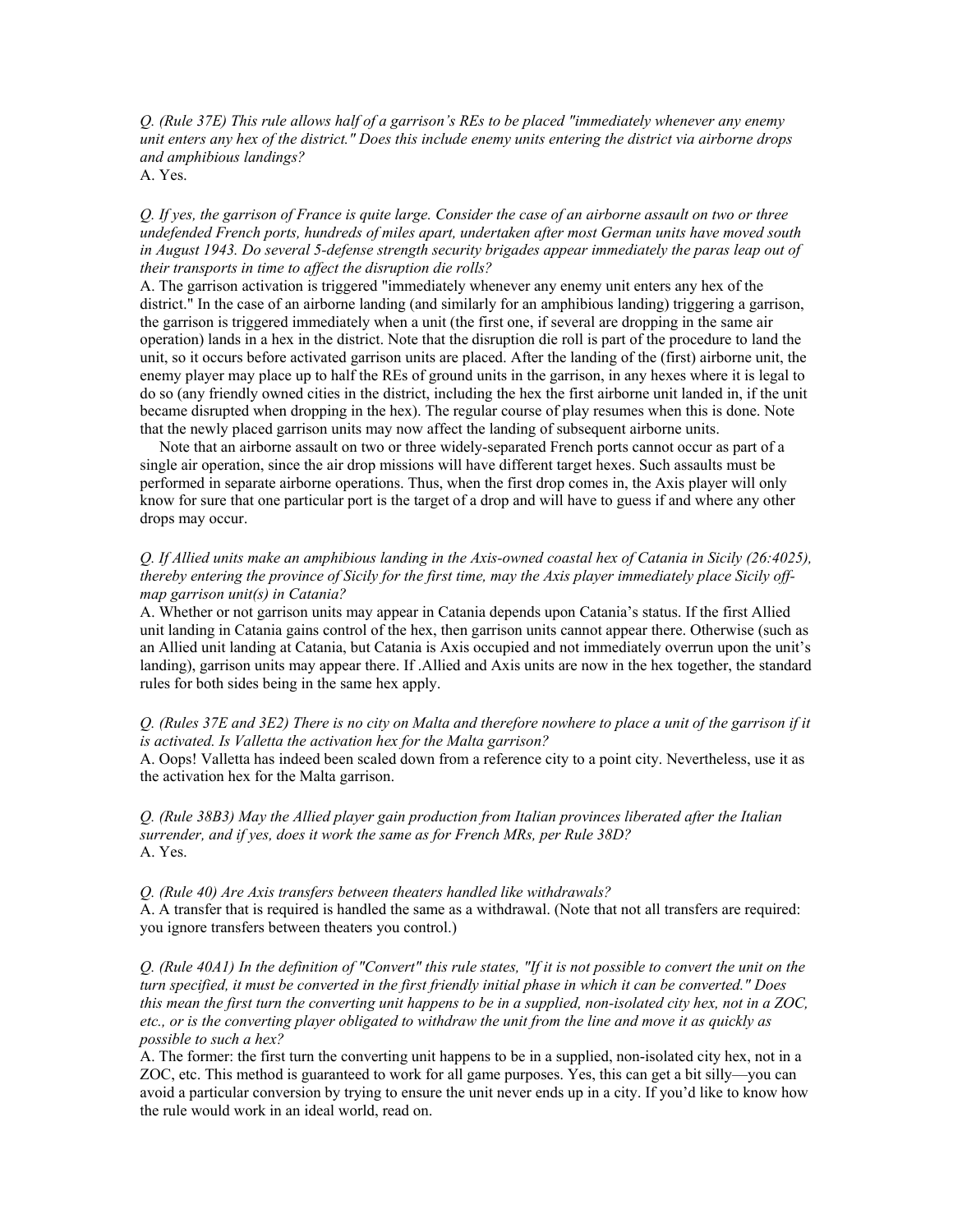*Q. (Rule 37E) This rule allows half of a garrison's REs to be placed "immediately whenever any enemy unit enters any hex of the district." Does this include enemy units entering the district via airborne drops and amphibious landings?*

A. Yes.

*Q. If yes, the garrison of France is quite large. Consider the case of an airborne assault on two or three undefended French ports, hundreds of miles apart, undertaken after most German units have moved south in August 1943. Do several 5-defense strength security brigades appear immediately the paras leap out of their transports in time to affect the disruption die rolls?*

A. The garrison activation is triggered "immediately whenever any enemy unit enters any hex of the district." In the case of an airborne landing (and similarly for an amphibious landing) triggering a garrison, the garrison is triggered immediately when a unit (the first one, if several are dropping in the same air operation) lands in a hex in the district. Note that the disruption die roll is part of the procedure to land the unit, so it occurs before activated garrison units are placed. After the landing of the (first) airborne unit, the enemy player may place up to half the REs of ground units in the garrison, in any hexes where it is legal to do so (any friendly owned cities in the district, including the hex the first airborne unit landed in, if the unit became disrupted when dropping in the hex). The regular course of play resumes when this is done. Note that the newly placed garrison units may now affect the landing of subsequent airborne units.

 Note that an airborne assault on two or three widely-separated French ports cannot occur as part of a single air operation, since the air drop missions will have different target hexes. Such assaults must be performed in separate airborne operations. Thus, when the first drop comes in, the Axis player will only know for sure that one particular port is the target of a drop and will have to guess if and where any other drops may occur.

# *Q. If Allied units make an amphibious landing in the Axis-owned coastal hex of Catania in Sicily (26:4025), thereby entering the province of Sicily for the first time, may the Axis player immediately place Sicily offmap garrison unit(s) in Catania?*

A. Whether or not garrison units may appear in Catania depends upon Catania's status. If the first Allied unit landing in Catania gains control of the hex, then garrison units cannot appear there. Otherwise (such as an Allied unit landing at Catania, but Catania is Axis occupied and not immediately overrun upon the unit's landing), garrison units may appear there. If .Allied and Axis units are now in the hex together, the standard rules for both sides being in the same hex apply.

#### *Q. (Rules 37E and 3E2) There is no city on Malta and therefore nowhere to place a unit of the garrison if it is activated. Is Valletta the activation hex for the Malta garrison?*

A. Oops! Valletta has indeed been scaled down from a reference city to a point city. Nevertheless, use it as the activation hex for the Malta garrison.

*Q. (Rule 38B3) May the Allied player gain production from Italian provinces liberated after the Italian surrender, and if yes, does it work the same as for French MRs, per Rule 38D?* A. Yes.

*Q. (Rule 40) Are Axis transfers between theaters handled like withdrawals?*

A. A transfer that is required is handled the same as a withdrawal. (Note that not all transfers are required: you ignore transfers between theaters you control.)

*Q. (Rule 40A1) In the definition of "Convert" this rule states, "If it is not possible to convert the unit on the turn specified, it must be converted in the first friendly initial phase in which it can be converted." Does this mean the first turn the converting unit happens to be in a supplied, non-isolated city hex, not in a ZOC, etc., or is the converting player obligated to withdraw the unit from the line and move it as quickly as possible to such a hex?*

A. The former: the first turn the converting unit happens to be in a supplied, non-isolated city hex, not in a ZOC, etc. This method is guaranteed to work for all game purposes. Yes, this can get a bit silly—you can avoid a particular conversion by trying to ensure the unit never ends up in a city. If you'd like to know how the rule would work in an ideal world, read on.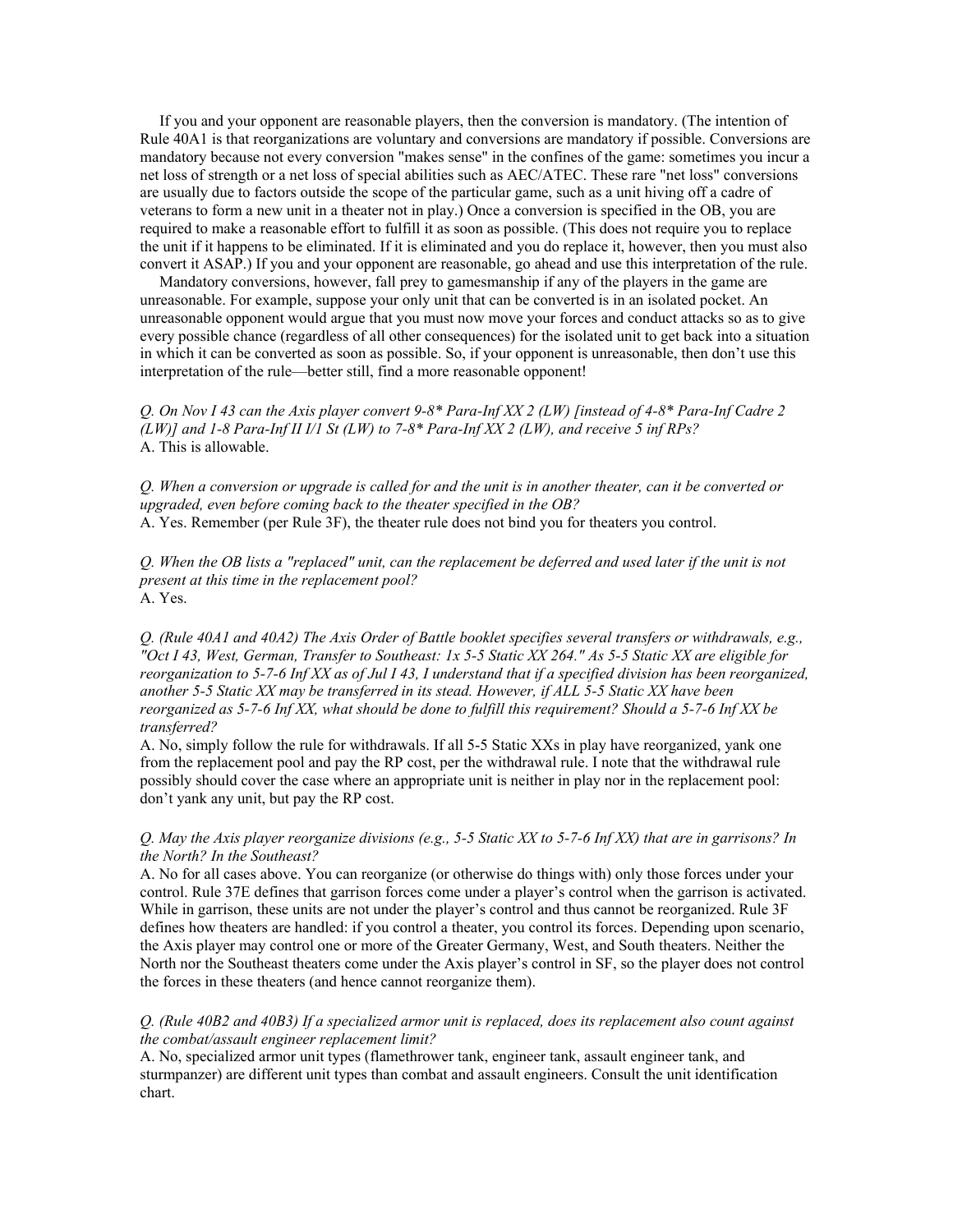If you and your opponent are reasonable players, then the conversion is mandatory. (The intention of Rule 40A1 is that reorganizations are voluntary and conversions are mandatory if possible. Conversions are mandatory because not every conversion "makes sense" in the confines of the game: sometimes you incur a net loss of strength or a net loss of special abilities such as AEC/ATEC. These rare "net loss" conversions are usually due to factors outside the scope of the particular game, such as a unit hiving off a cadre of veterans to form a new unit in a theater not in play.) Once a conversion is specified in the OB, you are required to make a reasonable effort to fulfill it as soon as possible. (This does not require you to replace the unit if it happens to be eliminated. If it is eliminated and you do replace it, however, then you must also convert it ASAP.) If you and your opponent are reasonable, go ahead and use this interpretation of the rule.

 Mandatory conversions, however, fall prey to gamesmanship if any of the players in the game are unreasonable. For example, suppose your only unit that can be converted is in an isolated pocket. An unreasonable opponent would argue that you must now move your forces and conduct attacks so as to give every possible chance (regardless of all other consequences) for the isolated unit to get back into a situation in which it can be converted as soon as possible. So, if your opponent is unreasonable, then don't use this interpretation of the rule—better still, find a more reasonable opponent!

*Q. On Nov I 43 can the Axis player convert 9-8\* Para-Inf XX 2 (LW) [instead of 4-8\* Para-Inf Cadre 2 (LW)] and 1-8 Para-Inf II I/1 St (LW) to 7-8\* Para-Inf XX 2 (LW), and receive 5 inf RPs?* A. This is allowable.

*Q. When a conversion or upgrade is called for and the unit is in another theater, can it be converted or upgraded, even before coming back to the theater specified in the OB?* A. Yes. Remember (per Rule 3F), the theater rule does not bind you for theaters you control.

*Q. When the OB lists a "replaced" unit, can the replacement be deferred and used later if the unit is not present at this time in the replacement pool?* A. Yes.

*Q. (Rule 40A1 and 40A2) The Axis Order of Battle booklet specifies several transfers or withdrawals, e.g., "Oct I 43, West, German, Transfer to Southeast: 1x 5-5 Static XX 264." As 5-5 Static XX are eligible for*  reorganization to 5-7-6 Inf XX as of Jul 143, I understand that if a specified division has been reorganized, *another 5-5 Static XX may be transferred in its stead. However, if ALL 5-5 Static XX have been reorganized as 5-7-6 Inf XX, what should be done to fulfill this requirement? Should a 5-7-6 Inf XX be transferred?*

A. No, simply follow the rule for withdrawals. If all 5-5 Static XXs in play have reorganized, yank one from the replacement pool and pay the RP cost, per the withdrawal rule. I note that the withdrawal rule possibly should cover the case where an appropriate unit is neither in play nor in the replacement pool: don't yank any unit, but pay the RP cost.

#### *Q. May the Axis player reorganize divisions (e.g., 5-5 Static XX to 5-7-6 Inf XX) that are in garrisons? In the North? In the Southeast?*

A. No for all cases above. You can reorganize (or otherwise do things with) only those forces under your control. Rule 37E defines that garrison forces come under a player's control when the garrison is activated. While in garrison, these units are not under the player's control and thus cannot be reorganized. Rule 3F defines how theaters are handled: if you control a theater, you control its forces. Depending upon scenario, the Axis player may control one or more of the Greater Germany, West, and South theaters. Neither the North nor the Southeast theaters come under the Axis player's control in SF, so the player does not control the forces in these theaters (and hence cannot reorganize them).

# *Q. (Rule 40B2 and 40B3) If a specialized armor unit is replaced, does its replacement also count against the combat/assault engineer replacement limit?*

A. No, specialized armor unit types (flamethrower tank, engineer tank, assault engineer tank, and sturmpanzer) are different unit types than combat and assault engineers. Consult the unit identification chart.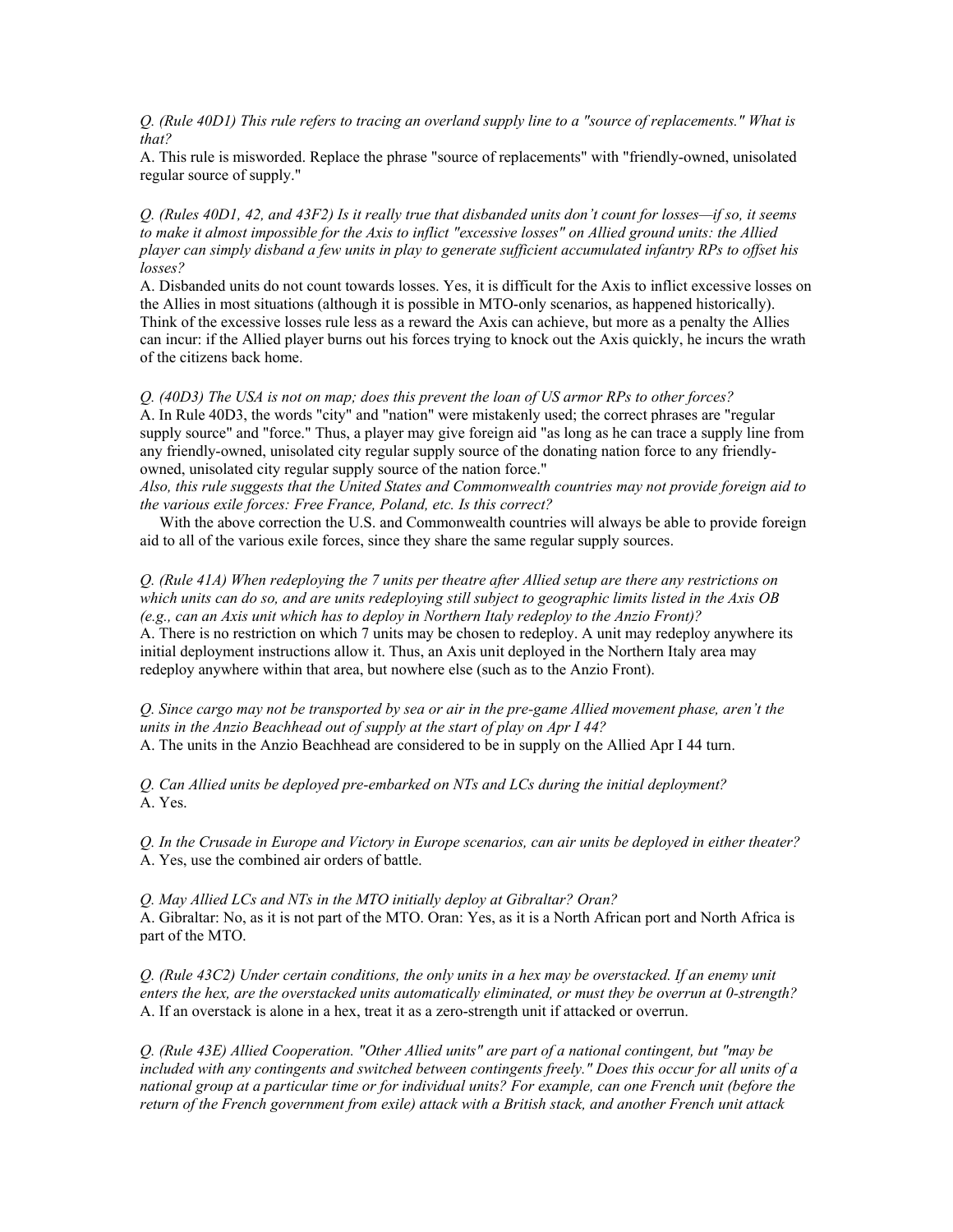*Q. (Rule 40D1) This rule refers to tracing an overland supply line to a "source of replacements." What is that?*

A. This rule is misworded. Replace the phrase "source of replacements" with "friendly-owned, unisolated regular source of supply."

*Q. (Rules 40D1, 42, and 43F2) Is it really true that disbanded units don't count for losses—if so, it seems to make it almost impossible for the Axis to inflict "excessive losses" on Allied ground units: the Allied player can simply disband a few units in play to generate sufficient accumulated infantry RPs to offset his losses?*

A. Disbanded units do not count towards losses. Yes, it is difficult for the Axis to inflict excessive losses on the Allies in most situations (although it is possible in MTO-only scenarios, as happened historically). Think of the excessive losses rule less as a reward the Axis can achieve, but more as a penalty the Allies can incur: if the Allied player burns out his forces trying to knock out the Axis quickly, he incurs the wrath of the citizens back home.

*Q. (40D3) The USA is not on map; does this prevent the loan of US armor RPs to other forces?* A. In Rule 40D3, the words "city" and "nation" were mistakenly used; the correct phrases are "regular supply source" and "force." Thus, a player may give foreign aid "as long as he can trace a supply line from any friendly-owned, unisolated city regular supply source of the donating nation force to any friendlyowned, unisolated city regular supply source of the nation force."

*Also, this rule suggests that the United States and Commonwealth countries may not provide foreign aid to the various exile forces: Free France, Poland, etc. Is this correct?*

 With the above correction the U.S. and Commonwealth countries will always be able to provide foreign aid to all of the various exile forces, since they share the same regular supply sources.

*Q. (Rule 41A) When redeploying the 7 units per theatre after Allied setup are there any restrictions on which units can do so, and are units redeploying still subject to geographic limits listed in the Axis OB (e.g., can an Axis unit which has to deploy in Northern Italy redeploy to the Anzio Front)?* A. There is no restriction on which 7 units may be chosen to redeploy. A unit may redeploy anywhere its initial deployment instructions allow it. Thus, an Axis unit deployed in the Northern Italy area may redeploy anywhere within that area, but nowhere else (such as to the Anzio Front).

*Q. Since cargo may not be transported by sea or air in the pre-game Allied movement phase, aren't the units in the Anzio Beachhead out of supply at the start of play on Apr I 44?* A. The units in the Anzio Beachhead are considered to be in supply on the Allied Apr I 44 turn.

*Q. Can Allied units be deployed pre-embarked on NTs and LCs during the initial deployment?* A. Yes.

*Q. In the Crusade in Europe and Victory in Europe scenarios, can air units be deployed in either theater?* A. Yes, use the combined air orders of battle.

*Q. May Allied LCs and NTs in the MTO initially deploy at Gibraltar? Oran?* A. Gibraltar: No, as it is not part of the MTO. Oran: Yes, as it is a North African port and North Africa is part of the MTO.

*Q. (Rule 43C2) Under certain conditions, the only units in a hex may be overstacked. If an enemy unit enters the hex, are the overstacked units automatically eliminated, or must they be overrun at 0-strength?* A. If an overstack is alone in a hex, treat it as a zero-strength unit if attacked or overrun.

*Q. (Rule 43E) Allied Cooperation. "Other Allied units" are part of a national contingent, but "may be*  included with any contingents and switched between contingents freely." Does this occur for all units of a *national group at a particular time or for individual units? For example, can one French unit (before the return of the French government from exile) attack with a British stack, and another French unit attack*